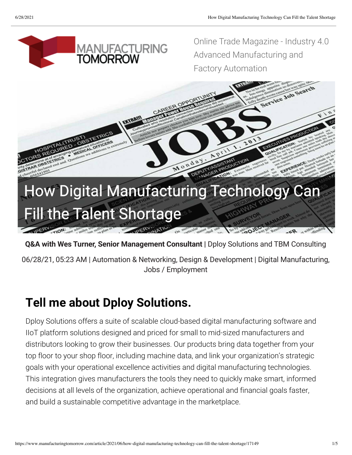

**Q&A with Wes Turner, Senior Management Consultant |** [Dploy Solutions](https://www.dploysolutions.com/) and [TBM Consulting](https://www.tbmcg.com/)

06/28/21, 05:23 AM | Automation & Networking, Design & Development | Digital Manufacturing, Jobs / Employment

### **Tell me about Dploy Solutions.**

Dploy Solutions offers a suite of scalable cloud-based digital manufacturing software and IIoT platform solutions designed and priced for small to mid-sized manufacturers and distributors looking to grow their businesses. Our products bring data together from your top floor to your shop floor, including machine data, and link your organization's strategic goals with your operational excellence activities and digital manufacturing technologies. This integration gives manufacturers the tools they need to quickly make smart, informed decisions at all levels of the organization, achieve operational and financial goals faster, and build a sustainable competitive advantage in the marketplace.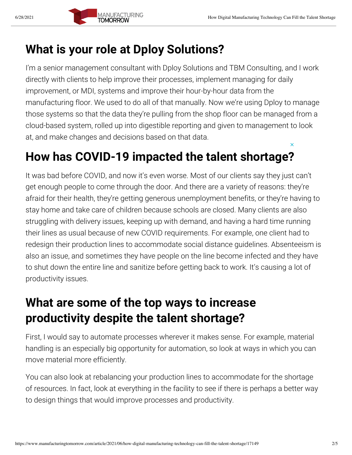#### **What is your role at Dploy Solutions?**

I'm a senior management consultant with Dploy Solutions and TBM Consulting, and I work directly with clients to help improve their processes, implement managing for daily improvement, or MDI, systems and improve their hour-by-hour data from the manufacturing floor. We used to do all of that manually. Now we're using Dploy to manage those systems so that the data they're pulling from the shop floor can be managed from a cloud-based system, rolled up into digestible reporting and given to management to look at, and make changes and decisions based on that data.

#### **How has COVID-19 impacted the talent shortage?**

get enough people to come through the door. And there are a variety of reasons: they're It was bad before COVID, and now it's even worse. Most of our clients say they just can't afraid for their health, they're getting generous unemployment benefits, or they're having to stay home and take care of children because schools are closed. Many clients are also struggling with delivery issues, keeping up with demand, and having a hard time running their lines as usual because of new COVID requirements. For example, one client had to redesign their production lines to accommodate social distance guidelines. Absenteeism is also an issue, and sometimes they have people on the line become infected and they have to shut down the entire line and sanitize before getting back to work. It's causing a lot of productivity issues.

#### **What are some of the top ways to increase productivity despite the talent shortage?**

First, I would say to automate processes wherever it makes sense. For example, material handling is an especially big opportunity for automation, so look at ways in which you can move material more efficiently.

You can also look at rebalancing your production lines to accommodate for the shortage of resources. In fact, look at everything in the facility to see if there is perhaps a better way to design things that would improve processes and productivity.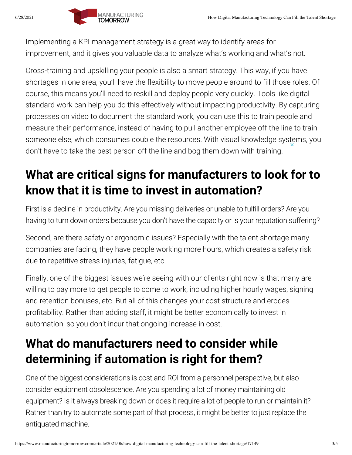Implementing a KPI management strategy is a great way to identify areas for improvement, and it gives you valuable data to analyze what's working and what's not.

Cross-training and upskilling your people is also a smart strategy. This way, if you have shortages in one area, you'll have the flexibility to move people around to fill those roles. Of course, this means you'll need to reskill and deploy people very quickly. Tools like digital standard work can help you do this effectively without impacting productivity. By capturing processes on video to document the standard work, you can use this to train people and measure their performance, instead of having to pull another employee off the line to train someone else, which consumes double the resources. With visual knowledge systems, you don't have to take the best person off the line and bog them down with training.

# **know that it is time to invest in automation? What are critical signs for manufacturers to look for to**

First is a decline in productivity. Are you missing deliveries or unable to fulfill orders? Are you having to turn down orders because you don't have the capacity or is your reputation suffering?

Second, are there safety or ergonomic issues? Especially with the talent shortage many companies are facing, they have people working more hours, which creates a safety risk due to repetitive stress injuries, fatigue, etc.

Finally, one of the biggest issues we're seeing with our clients right now is that many are willing to pay more to get people to come to work, including higher hourly wages, signing and retention bonuses, etc. But all of this changes your cost structure and erodes profitability. Rather than adding staff, it might be better economically to invest in automation, so you don't incur that ongoing increase in cost.

## **What do manufacturers need to consider while determining if automation is right for them?**

One of the biggest considerations is cost and ROI from a personnel perspective, but also consider equipment obsolescence. Are you spending a lot of money maintaining old equipment? Is it always breaking down or does it require a lot of people to run or maintain it? Rather than try to automate some part of that process, it might be better to just replace the antiquated machine.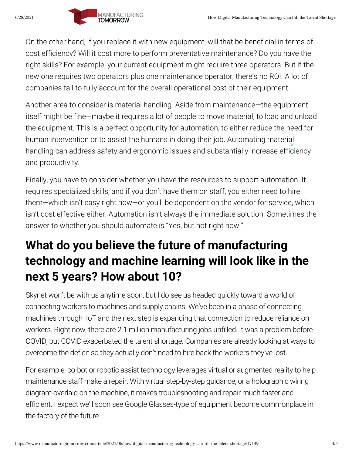On the other hand, if you replace it with new equipment, will that be beneficial in terms of cost efficiency? Will it cost more to perform preventative maintenance? Do you have the right skills? For example, your current equipment might require three operators. But if the new one requires two operators plus one maintenance operator, there's no ROI. A lot of companies fail to fully account for the overall operational cost of their equipment.

Another area to consider is material handling. Aside from maintenance—the equipment itself might be fine—maybe it requires a lot of people to move material, to load and unload the equipment. This is a perfect opportunity for automation, to either reduce the need for human intervention or to assist the humans in doing their job. Automating material handling can address safety and ergonomic issues and substantially increase efficiency and productivity.

requires specialized skills, and if you don't have them on staff, you either need to hire Finally, you have to consider whether you have the resources to support automation. It them—which isn't easy right now—or you'll be dependent on the vendor for service, which isn't cost effective either. Automation isn't always the immediate solution. Sometimes the answer to whether you should automate is "Yes, but not right now."

### **What do you believe the future of manufacturing technology and machine learning will look like in the next 5 years? How about 10?**

Skynet won't be with us anytime soon, but I do see us headed quickly toward a world of connecting workers to machines and supply chains. We've been in a phase of connecting machines through IIoT and the next step is expanding that connection to reduce reliance on workers. Right now, there are 2.1 million manufacturing jobs unfilled. It was a problem before COVID, but COVID exacerbated the talent shortage. Companies are already looking at ways to overcome the deficit so they actually don't need to hire back the workers they've lost.

For example, co-bot or robotic assist technology leverages virtual or augmented reality to help maintenance staff make a repair. With virtual step-by-step guidance, or a holographic wiring diagram overlaid on the machine, it makes troubleshooting and repair much faster and efficient. I expect we'll soon see Google Glasses-type of equipment become commonplace in the factory of the future.